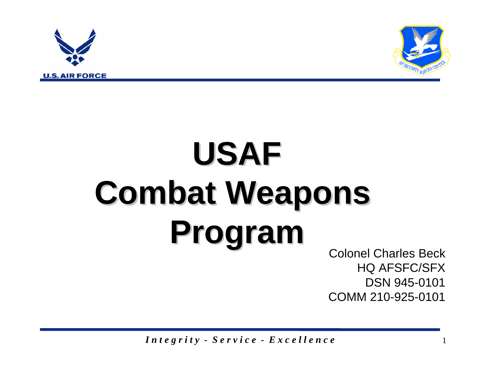



## **USAF Combat Weapons Combat Weapons Program Program** Colonel Charles Beck

HQ AFSFC/SFX DSN 945-0101COMM 210-925-0101

*I n t e g r i t y - S e r v i c e - E x c e l l e n c e* <sup>1</sup>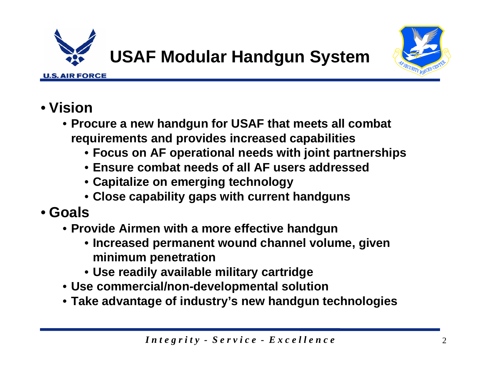



## • **Vision**

- **Procure a new handgun for USAF that meets all combat requirements and provides increased capabilities**
	- **Focus on AF operational needs with joint partnerships**
	- **Ensure combat needs of all AF users addressed**
	- **Capitalize on emerging technology**
	- **Close capability gaps with current handguns**
- **Goals**
	- **Provide Airmen with a more effective handgun**
		- **Increased permanent wound channel volume, given minimum penetration**
		- **Use readily available military cartridge**
	- **Use commercial/non-developmental solution**
	- **Take advantage of industry's new handgun technologies**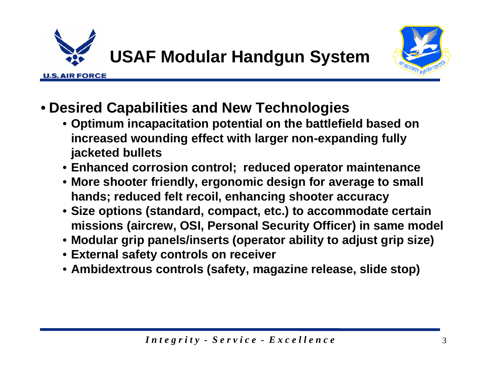

**U.S. AIR FORCE** 

**USAF Modular Handgun System**



- **Desired Capabilities and New Technologies** 
	- **Optimum incapacitation potential on the battlefield based on increased wounding effect with larger non-expanding fully jacketed bullets**
	- **Enhanced corrosion control; reduced operator maintenance**
	- **More shooter friendly, ergonomic design for average to small hands; reduced felt recoil, enhancing shooter accuracy**
	- **Size options (standard, compact, etc.) to accommodate certain missions (aircrew, OSI, Personal Security Officer) in same model**
	- **Modular grip panels/inserts (operator ability to adjust grip size)**
	- **External safety controls on receiver**
	- **Ambidextrous controls (safety, magazine release, slide stop)**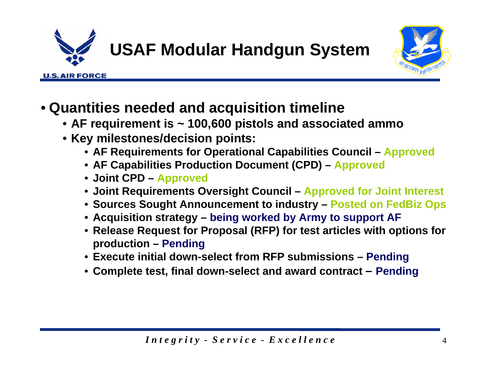

**USAF Modular Handgun System** 



- **Quantities needed and acquisition timeline**
	- **AF requirement is ~ 100,600 pistols and associated ammo**
	- **Key milestones/decision points:**
		- **AF Requirements for Operational Capabilities Council – Approved**
		- **AF Capabilities Production Document (CPD) – Approved**
		- **Joint CPD – Approved**
		- **Joint Requirements Oversight Council – Approved for Joint Interest**
		- **Sources Sought Announcement to industry – Posted on FedBiz Ops**
		- **Acquisition strategy – being worked by Army to support AF**
		- **Release Request for Proposal (RFP) for test articles with options for production – Pending**
		- **Execute initial down-select from RFP submissions – Pending**
		- **Complete test, final down-select and award contract – Pending**